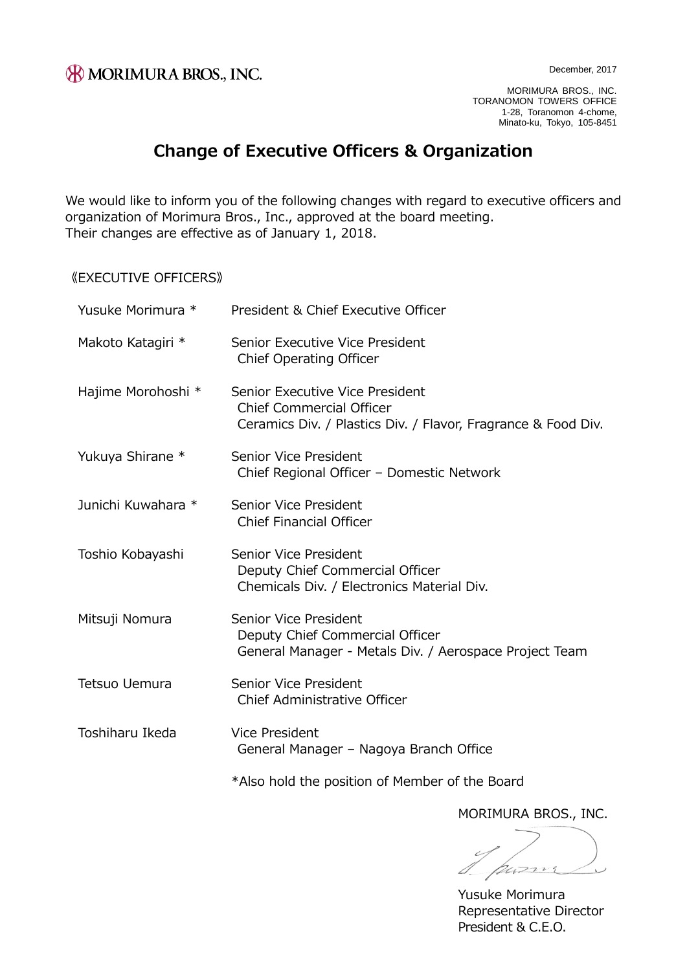MORIMURA BROS., INC. TORANOMON TOWERS OFFICE 1-28, Toranomon 4-chome, Minato-ku, Tokyo, 105-8451

## **Change of Executive Officers & Organization**

We would like to inform you of the following changes with regard to executive officers and organization of Morimura Bros., Inc., approved at the board meeting. Their changes are effective as of January 1, 2018.

《EXECUTIVE OFFICERS》

| Yusuke Morimura *  | President & Chief Executive Officer                                                                                                 |
|--------------------|-------------------------------------------------------------------------------------------------------------------------------------|
| Makoto Katagiri *  | Senior Executive Vice President<br>Chief Operating Officer                                                                          |
| Hajime Morohoshi * | Senior Executive Vice President<br><b>Chief Commercial Officer</b><br>Ceramics Div. / Plastics Div. / Flavor, Fragrance & Food Div. |
| Yukuya Shirane *   | Senior Vice President<br>Chief Regional Officer - Domestic Network                                                                  |
| Junichi Kuwahara * | Senior Vice President<br><b>Chief Financial Officer</b>                                                                             |
| Toshio Kobayashi   | Senior Vice President<br>Deputy Chief Commercial Officer<br>Chemicals Div. / Electronics Material Div.                              |
| Mitsuji Nomura     | Senior Vice President<br>Deputy Chief Commercial Officer<br>General Manager - Metals Div. / Aerospace Project Team                  |
| Tetsuo Uemura      | Senior Vice President<br>Chief Administrative Officer                                                                               |
| Toshiharu Ikeda    | Vice President<br>General Manager - Nagoya Branch Office                                                                            |
|                    | *Also hold the position of Member of the Board                                                                                      |

MORIMURA BROS., INC.

puzzur

Yusuke Morimura Representative Director President & C.E.O.